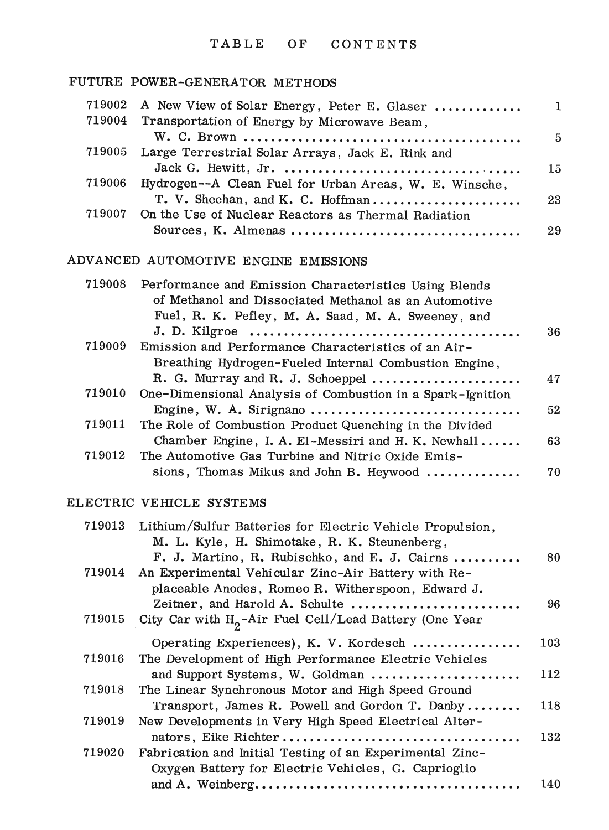### TABLE OF CONTENTS

# FUTURE POWER-GENERATOR METHODS

| 719002 | A New View of Solar Energy, Peter E. Glaser                                 | $\mathbf{1}$    |
|--------|-----------------------------------------------------------------------------|-----------------|
| 719004 | Transportation of Energy by Microwave Beam,                                 |                 |
|        |                                                                             | 5               |
| 719005 | Large Terrestrial Solar Arrays, Jack E. Rink and                            |                 |
|        |                                                                             | 15 <sub>1</sub> |
| 719006 | Hydrogen--A Clean Fuel for Urban Areas, W. E. Winsche,                      |                 |
|        | T. V. Sheehan, and K. C. Hoffman                                            | 23              |
| 719007 | On the Use of Nuclear Reactors as Thermal Radiation                         |                 |
|        |                                                                             | 29              |
|        |                                                                             |                 |
|        | ADVANCED AUTOMOTIVE ENGINE EMISSIONS                                        |                 |
| 719008 | Performance and Emission Characteristics Using Blends                       |                 |
|        | of Methanol and Dissociated Methanol as an Automotive                       |                 |
|        | Fuel, R. K. Pefley, M. A. Saad, M. A. Sweeney, and                          |                 |
|        |                                                                             | 36              |
| 719009 | Emission and Performance Characteristics of an Air-                         |                 |
|        | Breathing Hydrogen-Fueled Internal Combustion Engine,                       |                 |
|        | R. G. Murray and R. J. Schoeppel $\dots\dots\dots\dots\dots\dots\dots\dots$ | 47              |
| 719010 | One-Dimensional Analysis of Combustion in a Spark-Ignition                  |                 |
|        | Engine, W. A. Sirignano                                                     | 52              |
| 719011 | The Role of Combustion Product Quenching in the Divided                     |                 |
|        | Chamber Engine, I. A. El-Messiri and H. K. Newhall                          | 63              |
| 719012 | The Automotive Gas Turbine and Nitric Oxide Emis-                           |                 |
|        | sions, Thomas Mikus and John B. Heywood                                     | 70              |
|        |                                                                             |                 |

### ELECTRIC VEHICLE SYSTEMS

 $\mathbf{r}$ 

| 719013 | Lithium/Sulfur Batteries for Electric Vehicle Propulsion, |     |
|--------|-----------------------------------------------------------|-----|
|        | M. L. Kyle, H. Shimotake, R. K. Steunenberg,              |     |
|        | F. J. Martino, R. Rubischko, and E. J. Cairns             | 80  |
| 719014 | An Experimental Vehicular Zinc-Air Battery with Re-       |     |
|        | placeable Anodes, Romeo R. Witherspoon, Edward J.         |     |
|        | Zeitner, and Harold A. Schulte                            | 96  |
| 719015 | City Car with $H_0$ -Air Fuel Cell/Lead Battery (One Year |     |
|        | Operating Experiences), K. V. Kordesch                    | 103 |
| 719016 | The Development of High Performance Electric Vehicles     |     |
|        | and Support Systems, W. Goldman                           | 112 |
| 719018 | The Linear Synchronous Motor and High Speed Ground        |     |
|        | Transport, James R. Powell and Gordon T. Danby            | 118 |
| 719019 | New Developments in Very High Speed Electrical Alter-     |     |
|        |                                                           | 132 |
| 719020 | Fabrication and Initial Testing of an Experimental Zinc-  |     |
|        | Oxygen Battery for Electric Vehicles, G. Caprioglio       |     |
|        |                                                           | 140 |
|        |                                                           |     |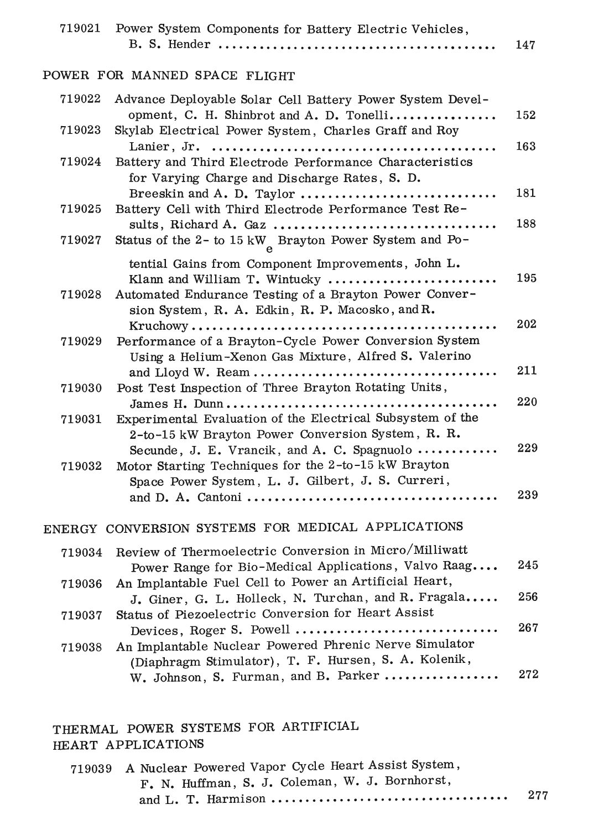| 719021           | Power System Components for Battery Electric Vehicles,                                                                                                                                           | 147        |
|------------------|--------------------------------------------------------------------------------------------------------------------------------------------------------------------------------------------------|------------|
|                  | POWER FOR MANNED SPACE FLIGHT                                                                                                                                                                    |            |
| 719022<br>719023 | Advance Deployable Solar Cell Battery Power System Devel-<br>opment, C. H. Shinbrot and A. D. Tonelli<br>Skylab Electrical Power System, Charles Graff and Roy                                   | 152        |
| 719024           | Battery and Third Electrode Performance Characteristics                                                                                                                                          | 163        |
|                  | for Varying Charge and Discharge Rates, S. D.<br>Breeskin and A. D. Taylor                                                                                                                       | 181        |
| 719025<br>719027 | Battery Cell with Third Electrode Performance Test Re-<br>Status of the 2- to 15 kW Brayton Power System and Po-                                                                                 | 188        |
| 719028           | tential Gains from Component Improvements, John L.<br>Klann and William T. Wintucky<br>Automated Endurance Testing of a Brayton Power Conver-<br>sion System, R. A. Edkin, R. P. Macosko, and R. | 195        |
| 719029           | Performance of a Brayton-Cycle Power Conversion System<br>Using a Helium-Xenon Gas Mixture, Alfred S. Valerino                                                                                   | 202        |
| 719030           | Post Test Inspection of Three Brayton Rotating Units,                                                                                                                                            | 211<br>220 |
| 719031           | Experimental Evaluation of the Electrical Subsystem of the<br>2-to-15 kW Brayton Power Conversion System, R. R.                                                                                  |            |
| 719032           | Secunde, J. E. Vrancik, and A. C. Spagnuolo<br>Motor Starting Techniques for the 2-to-15 kW Brayton<br>Space Power System, L. J. Gilbert, J. S. Curreri,                                         | 229        |
|                  |                                                                                                                                                                                                  | 239        |
|                  | ENERGY CONVERSION SYSTEMS FOR MEDICAL APPLICATIONS                                                                                                                                               |            |
| 719034           | Review of Thermoelectric Conversion in Micro/Milliwatt<br>Power Range for Bio-Medical Applications, Valvo Raag                                                                                   | 245        |
| 719036           | An Implantable Fuel Cell to Power an Artificial Heart,<br>J. Giner, G. L. Holleck, N. Turchan, and R. Fragala                                                                                    | 256        |
| 719037           | Status of Piezoelectric Conversion for Heart Assist<br>Devices, Roger S. Powell                                                                                                                  | 267        |
| 719038           | An Implantable Nuclear Powered Phrenic Nerve Simulator<br>(Diaphragm Stimulator), T. F. Hursen, S. A. Kolenik,                                                                                   |            |
|                  | W. Johnson, S. Furman, and B. Parker                                                                                                                                                             | 272        |

THERMAL POWER SYSTEMS FOR ARTIFICIAL HEART APPLICATIONS

|  | 719039 A Nuclear Powered Vapor Cycle Heart Assist System, |     |
|--|-----------------------------------------------------------|-----|
|  | F. N. Huffman, S. J. Coleman, W. J. Bornhorst,            |     |
|  |                                                           | 277 |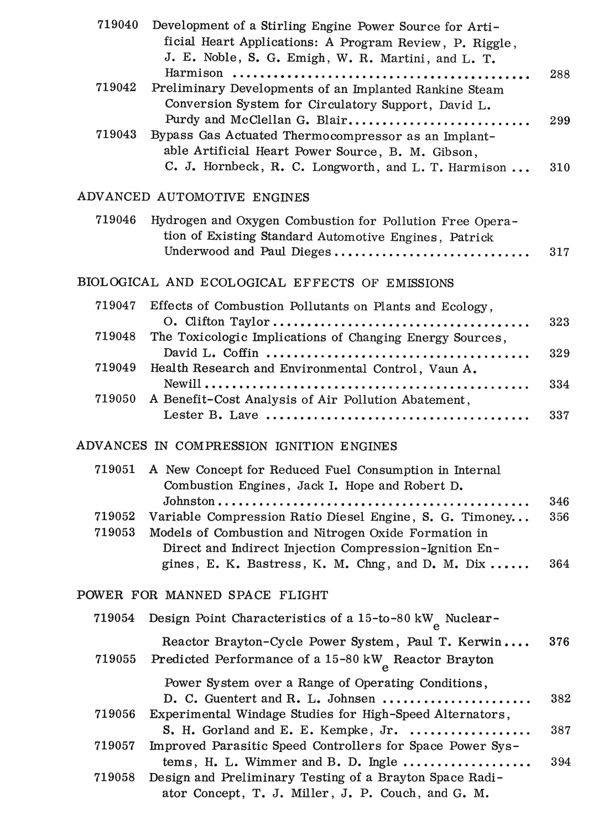| 719040           | Development of a Stirling Engine Power Source for Arti-<br>ficial Heart Applications: A Program Review, P. Riggle,<br>J. E. Noble, S. G. Emigh, W. R. Martini, and L. T.                                                      |                   |
|------------------|-------------------------------------------------------------------------------------------------------------------------------------------------------------------------------------------------------------------------------|-------------------|
| 719042           | Preliminary Developments of an Implanted Rankine Steam<br>Conversion System for Circulatory Support, David L.                                                                                                                 | 288               |
| 719043           | Purdy and McClellan G. Blair<br>Bypass Gas Actuated Thermocompressor as an Implant-<br>able Artificial Heart Power Source, B. M. Gibson,<br>C. J. Hornbeck, R. C. Longworth, and L. T. Harmison                               | 299<br>310        |
|                  | ADVANCED AUTOMOTIVE ENGINES                                                                                                                                                                                                   |                   |
| 719046           | Hydrogen and Oxygen Combustion for Pollution Free Opera-<br>tion of Existing Standard Automotive Engines, Patrick<br>Underwood and Paul Dieges                                                                                | 317               |
|                  | BIOLOGICAL AND ECOLOGICAL EFFECTS OF EMISSIONS                                                                                                                                                                                |                   |
| 719047           | Effects of Combustion Pollutants on Plants and Ecology,                                                                                                                                                                       |                   |
| 719048           | The Toxicologic Implications of Changing Energy Sources,                                                                                                                                                                      | 323               |
| 719049           | Health Research and Environmental Control, Vaun A.                                                                                                                                                                            | 329               |
| 719050           | A Benefit-Cost Analysis of Air Pollution Abatement,                                                                                                                                                                           | 334               |
|                  |                                                                                                                                                                                                                               | 337               |
|                  | ADVANCES IN COMPRESSION IGNITION ENGINES                                                                                                                                                                                      |                   |
| 719051           | A New Concept for Reduced Fuel Consumption in Internal<br>Combustion Engines, Jack I. Hope and Robert D.                                                                                                                      |                   |
| 719052<br>719053 | Variable Compression Ratio Diesel Engine, S. G. Timoney<br>Models of Combustion and Nitrogen Oxide Formation in<br>Direct and Indirect Injection Compression-Ignition En-<br>gines, E. K. Bastress, K. M. Chng, and D. M. Dix | 346<br>356<br>364 |
|                  | POWER FOR MANNED SPACE FLIGHT                                                                                                                                                                                                 |                   |
| 719054           | Design Point Characteristics of a 15-to-80 kW Nuclear-                                                                                                                                                                        |                   |
| 719055           | Reactor Brayton-Cycle Power System, Paul T. Kerwin<br>Predicted Performance of a 15-80 kW <sub>a</sub> Reactor Brayton                                                                                                        | 376               |
| 719056           | Power System over a Range of Operating Conditions,<br>D. C. Guentert and R. L. Johnsen<br>Experimental Windage Studies for High-Speed Alternators,                                                                            | 382               |
| 719057           | S. H. Gorland and E. E. Kempke, Jr.<br>Improved Parasitic Speed Controllers for Space Power Sys-                                                                                                                              | 387               |
| 719058           | tems, H. L. Wimmer and B. D. Ingle<br>Design and Preliminary Testing of a Brayton Space Radi-<br>ator Concept, T. J. Miller, J. P. Couch, and G. M.                                                                           | 394               |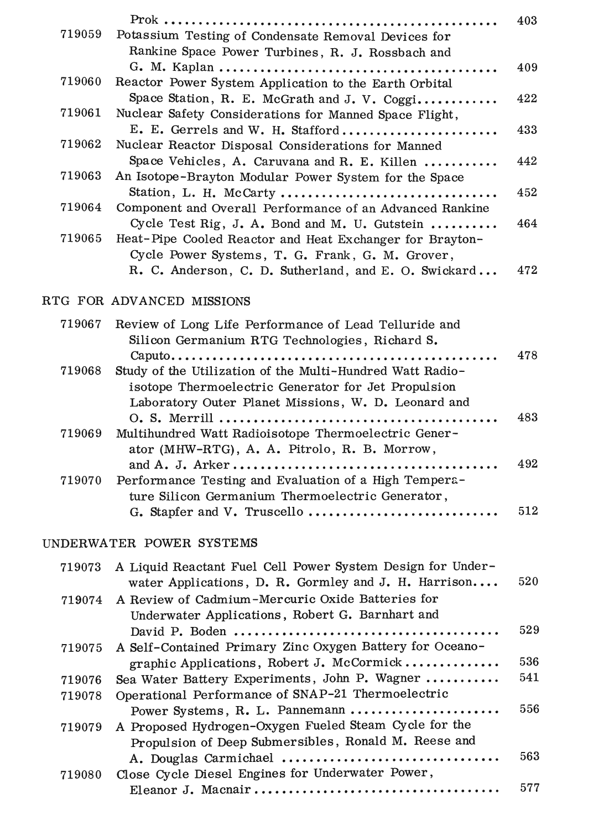|        |                                                          | 403 |
|--------|----------------------------------------------------------|-----|
| 719059 | Potassium Testing of Condensate Removal Devices for      |     |
|        | Rankine Space Power Turbines, R. J. Rossbach and         |     |
|        |                                                          | 409 |
| 719060 | Reactor Power System Application to the Earth Orbital    |     |
|        | Space Station, R. E. McGrath and J. V. Coggi             | 422 |
| 719061 | Nuclear Safety Considerations for Manned Space Flight,   |     |
|        | E. E. Gerrels and W. H. Stafford                         | 433 |
| 719062 | Nuclear Reactor Disposal Considerations for Manned       |     |
|        | Space Vehicles, A. Caruvana and R. E. Killen             | 442 |
| 719063 | An Isotope-Brayton Modular Power System for the Space    |     |
|        | Station, L. H. McCarty                                   | 452 |
| 719064 | Component and Overall Performance of an Advanced Rankine |     |
|        | Cycle Test Rig, J. A. Bond and M. U. Gutstein            | 464 |
| 719065 | Heat-Pipe Cooled Reactor and Heat Exchanger for Brayton- |     |
|        | Cycle Power Systems, T. G. Frank, G. M. Grover,          |     |
|        | R. C. Anderson, C. D. Sutherland, and E. O. Swickard     | 472 |

# RTG FOR ADVANCED MISSIONS

| 719067 | Review of Long Life Performance of Lead Telluride and     |     |
|--------|-----------------------------------------------------------|-----|
|        | Silicon Germanium RTG Technologies, Richard S.            |     |
|        |                                                           | 478 |
| 719068 | Study of the Utilization of the Multi-Hundred Watt Radio- |     |
|        | isotope Thermoelectric Generator for Jet Propulsion       |     |
|        | Laboratory Outer Planet Missions, W. D. Leonard and       |     |
|        |                                                           | 483 |
| 719069 | Multihundred Watt Radioisotope Thermoelectric Gener-      |     |
|        | ator (MHW-RTG), A. A. Pitrolo, R. B. Morrow,              |     |
|        |                                                           | 492 |
| 719070 | Performance Testing and Evaluation of a High Tempera-     |     |
|        | ture Silicon Germanium Thermoelectric Generator,          |     |
|        | G. Stapfer and V. Truscello                               | 512 |
|        |                                                           |     |

# UNDERWATER POWER SYSTEMS

| 719073 | A Liquid Reactant Fuel Cell Power System Design for Under- |     |
|--------|------------------------------------------------------------|-----|
|        | water Applications, D. R. Gormley and J. H. Harrison       | 520 |
| 719074 | A Review of Cadmium-Mercuric Oxide Batteries for           |     |
|        | Underwater Applications, Robert G. Barnhart and            |     |
|        |                                                            | 529 |
| 719075 | A Self-Contained Primary Zinc Oxygen Battery for Oceano-   |     |
|        | graphic Applications, Robert J. McCormick                  | 536 |
| 719076 | Sea Water Battery Experiments, John P. Wagner              | 541 |
| 719078 | Operational Performance of SNAP-21 Thermoelectric          |     |
|        | Power Systems, R. L. Pannemann                             | 556 |
| 719079 | A Proposed Hydrogen-Oxygen Fueled Steam Cycle for the      |     |
|        | Propulsion of Deep Submersibles, Ronald M. Reese and       |     |
|        | A. Douglas Carmichael                                      | 563 |
| 719080 | Close Cycle Diesel Engines for Underwater Power,           |     |
|        |                                                            | 577 |
|        |                                                            |     |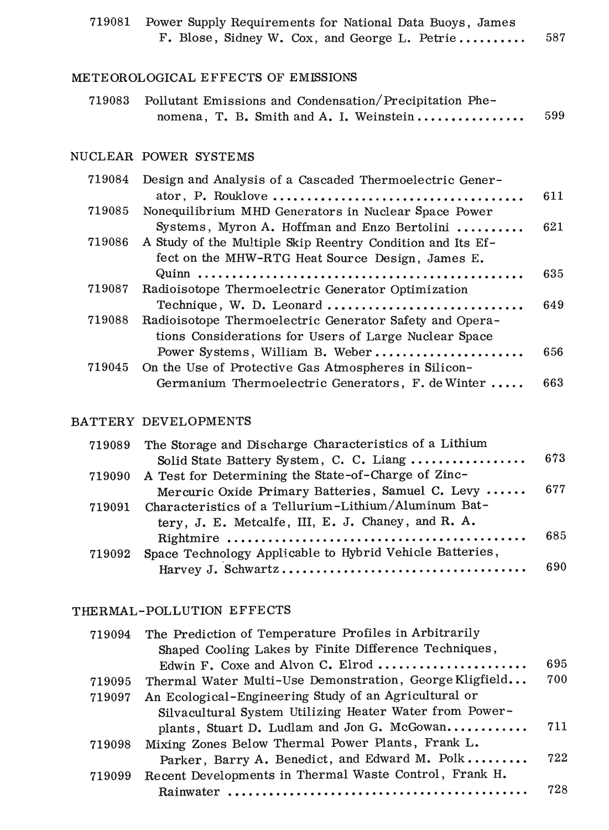| 719081 | Power Supply Requirements for National Data Buoys, James<br>F. Blose, Sidney W. Cox, and George L. Petrie      | 587 |
|--------|----------------------------------------------------------------------------------------------------------------|-----|
|        | METEOROLOGICAL EFFECTS OF EMISSIONS                                                                            |     |
| 719083 | Pollutant Emissions and Condensation/Precipitation Phe-<br>nomena, T. B. Smith and A. I. Weinstein             | 599 |
|        | NUCLEAR POWER SYSTEMS                                                                                          |     |
| 719084 | Design and Analysis of a Cascaded Thermoelectric Gener-                                                        |     |
| 719085 | Nonequilibrium MHD Generators in Nuclear Space Power                                                           | 611 |
|        | Systems, Myron A. Hoffman and Enzo Bertolini                                                                   | 621 |
| 719086 | A Study of the Multiple Skip Reentry Condition and Its Ef-<br>fect on the MHW-RTG Heat Source Design, James E. |     |
|        |                                                                                                                | 635 |
| 719087 | Radioisotope Thermoelectric Generator Optimization                                                             |     |
| 719088 | Technique, W. D. Leonard<br>Radioisotope Thermoelectric Generator Safety and Opera-                            | 649 |
|        | tions Considerations for Users of Large Nuclear Space                                                          |     |
| 719045 | Power Systems, William B. Weber<br>On the Use of Protective Gas Atmospheres in Silicon-                        | 656 |
|        | Germanium Thermoelectric Generators, F. de Winter                                                              | 663 |
|        |                                                                                                                |     |

# BATTERY DEVELOPMENTS

|        | 719089 The Storage and Discharge Characteristics of a Lithium |     |
|--------|---------------------------------------------------------------|-----|
|        | Solid State Battery System, C. C. Liang                       | 673 |
|        | 719090 A Test for Determining the State-of-Charge of Zinc-    |     |
|        | Mercuric Oxide Primary Batteries, Samuel C. Levy              | 677 |
| 719091 | Characteristics of a Tellurium-Lithium/Aluminum Bat-          |     |
|        | tery, J. E. Metcalfe, III, E. J. Chaney, and R. A.            |     |
|        |                                                               | 685 |
| 719092 | Space Technology Applicable to Hybrid Vehicle Batteries,      |     |
|        |                                                               | 690 |
|        |                                                               |     |

### THERMAL-POLLUTION EFFECTS

| 719094 | The Prediction of Temperature Profiles in Arbitrarily   |     |
|--------|---------------------------------------------------------|-----|
|        | Shaped Cooling Lakes by Finite Difference Techniques,   |     |
|        | Edwin F. Coxe and Alvon C. Elrod                        | 695 |
| 719095 | Thermal Water Multi-Use Demonstration, George Kligfield | 700 |
| 719097 | An Ecological-Engineering Study of an Agricultural or   |     |
|        | Silvacultural System Utilizing Heater Water from Power- |     |
|        | plants, Stuart D. Ludlam and Jon G. McGowan             | 711 |
| 719098 | Mixing Zones Below Thermal Power Plants, Frank L.       |     |
|        | Parker, Barry A. Benedict, and Edward M. Polk           | 722 |
| 719099 | Recent Developments in Thermal Waste Control, Frank H.  |     |
|        | Rainwater                                               | 728 |
|        |                                                         |     |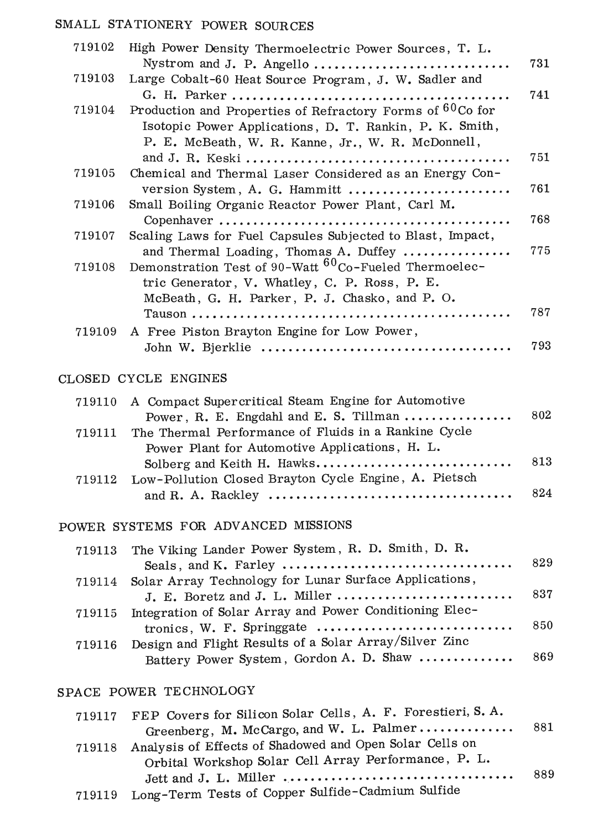# SMALL STATIONERY POWER SOURCES

| 719102 | High Power Density Thermoelectric Power Sources, T. L.            |     |
|--------|-------------------------------------------------------------------|-----|
|        |                                                                   | 731 |
| 719103 | Large Cobalt-60 Heat Source Program, J. W. Sadler and             |     |
|        |                                                                   | 741 |
| 719104 | Production and Properties of Refractory Forms of 60Co for         |     |
|        | Isotopic Power Applications, D. T. Rankin, P. K. Smith,           |     |
|        | P. E. McBeath, W. R. Kanne, Jr., W. R. McDonnell,                 |     |
|        |                                                                   | 751 |
| 719105 | Chemical and Thermal Laser Considered as an Energy Con-           |     |
|        | version System, A. G. Hammitt                                     | 761 |
| 719106 | Small Boiling Organic Reactor Power Plant, Carl M.                |     |
|        |                                                                   | 768 |
| 719107 | Scaling Laws for Fuel Capsules Subjected to Blast, Impact,        |     |
|        | and Thermal Loading, Thomas A. Duffey                             | 775 |
| 719108 | Demonstration Test of 90-Watt <sup>60</sup> Co-Fueled Thermoelec- |     |
|        | tric Generator, V. Whatley, C. P. Ross, P. E.                     |     |
|        | McBeath, G. H. Parker, P. J. Chasko, and P. O.                    |     |
|        |                                                                   | 787 |
| 719109 | A Free Piston Brayton Engine for Low Power,                       |     |
|        |                                                                   | 793 |
|        |                                                                   |     |

#### CLOSED CYCLE ENGINES

| Power, R. E. Engdahl and E. S. Tillman $\ldots \ldots \ldots \ldots$ | 802                                                        |
|----------------------------------------------------------------------|------------------------------------------------------------|
| 719111 The Thermal Performance of Fluids in a Rankine Cycle          |                                                            |
| Power Plant for Automotive Applications, H. L.                       |                                                            |
|                                                                      | 813                                                        |
| 719112 Low-Pollution Closed Brayton Cycle Engine, A. Pietsch         |                                                            |
|                                                                      | 824                                                        |
|                                                                      | 719110 A Compact Supercritical Steam Engine for Automotive |

# POWER SYSTEMS FOR ADVANCED MISSIONS

| 719113 The Viking Lander Power System, R. D. Smith, D. R.      |     |
|----------------------------------------------------------------|-----|
|                                                                |     |
| 719114 Solar Array Technology for Lunar Surface Applications,  |     |
| J. E. Boretz and J. L. Miller                                  | 837 |
| 719115 Integration of Solar Array and Power Conditioning Elec- |     |
|                                                                | 850 |
| 719116 Design and Flight Results of a Solar Array/Silver Zinc  |     |
| Battery Power System, Gordon A. D. Shaw  869                   |     |
|                                                                |     |

# SPACE POWER TECHNOLOGY

| 719117 FEP Covers for Silicon Solar Cells, A. F. Forestieri, S. A. |       |
|--------------------------------------------------------------------|-------|
| Greenberg, M. McCargo, and W. L. Palmer                            | - 881 |
| 719118 Analysis of Effects of Shadowed and Open Solar Cells on     |       |
| Orbital Workshop Solar Cell Array Performance, P. L.               |       |
|                                                                    | 889   |
| 719119 Long-Term Tests of Copper Sulfide-Cadmium Sulfide           |       |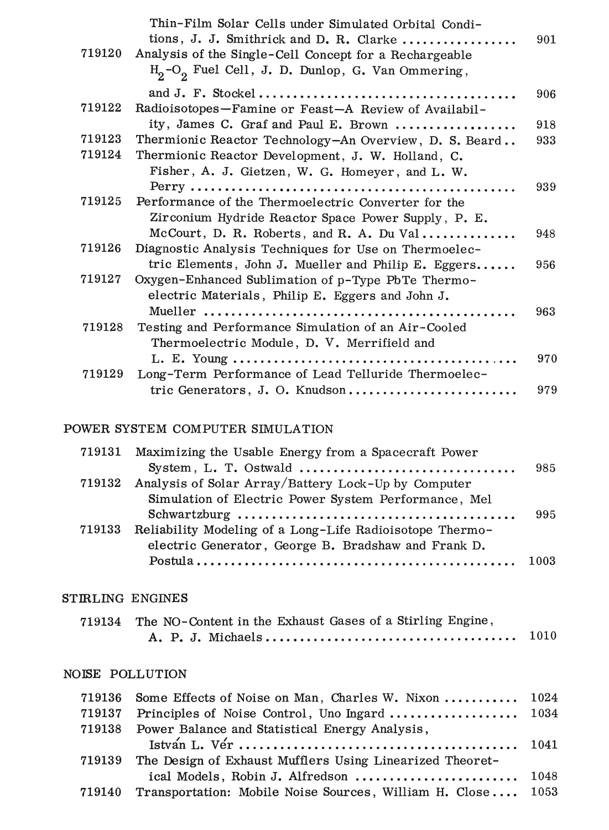|        | Thin-Film Solar Cells under Simulated Orbital Condi-   |     |
|--------|--------------------------------------------------------|-----|
|        | tions, J. J. Smithrick and D. R. Clarke                | 901 |
| 719120 | Analysis of the Single-Cell Concept for a Rechargeable |     |
|        | $H_2-O_2$ Fuel Cell, J. D. Dunlop, G. Van Ommering,    |     |
|        |                                                        | 906 |
| 719122 | Radioisotopes-Famine or Feast-A Review of Availabil-   |     |
|        | ity, James C. Graf and Paul E. Brown                   | 918 |
| 719123 | Thermionic Reactor Technology-An Overview, D. S. Beard | 933 |
| 719124 | Thermionic Reactor Development, J. W. Holland, C.      |     |
|        | Fisher, A. J. Gietzen, W. G. Homeyer, and L. W.        |     |
|        |                                                        | 939 |
| 719125 | Performance of the Thermoelectric Converter for the    |     |
|        | Zirconium Hydride Reactor Space Power Supply, P. E.    |     |
|        | McCourt, D. R. Roberts, and R. A. Du Val               | 948 |
| 719126 | Diagnostic Analysis Techniques for Use on Thermoelec-  |     |
|        | tric Elements, John J. Mueller and Philip E. Eggers    | 956 |
| 719127 | Oxygen-Enhanced Sublimation of p-Type PbTe Thermo-     |     |
|        | electric Materials, Philip E. Eggers and John J.       |     |
|        |                                                        | 963 |
| 719128 | Testing and Performance Simulation of an Air-Cooled    |     |
|        | Thermoelectric Module, D. V. Merrifield and            |     |
|        |                                                        | 970 |
| 719129 | Long-Term Performance of Lead Telluride Thermoelec-    |     |
|        | tric Generators, J. O. Knudson                         | 979 |

### POWER SYSTEM COMPUTER SIMULATION

| 719131 Maximizing the Usable Energy from a Spacecraft Power     |     |
|-----------------------------------------------------------------|-----|
|                                                                 | 985 |
| 719132 Analysis of Solar Array/Battery Lock-Up by Computer      |     |
| Simulation of Electric Power System Performance, Mel            |     |
|                                                                 | 995 |
| 719133 Reliability Modeling of a Long-Life Radioisotope Thermo- |     |
| electric Generator, George B. Bradshaw and Frank D.             |     |
|                                                                 |     |
|                                                                 |     |

# STIRLING ENGINES

| 719134 The NO-Content in the Exhaust Gases of a Stirling Engine, |  |
|------------------------------------------------------------------|--|
|                                                                  |  |

# NOISE POLLUTION

|        | 719136 Some Effects of Noise on Man, Charles W. Nixon  1024        |  |
|--------|--------------------------------------------------------------------|--|
| 719137 |                                                                    |  |
|        | 719138 Power Balance and Statistical Energy Analysis,              |  |
|        |                                                                    |  |
|        | 719139 The Design of Exhaust Mufflers Using Linearized Theoret-    |  |
|        | ical Models, Robin J. Alfredson  1048                              |  |
|        | 719140 Transportation: Mobile Noise Sources, William H. Close 1053 |  |
|        |                                                                    |  |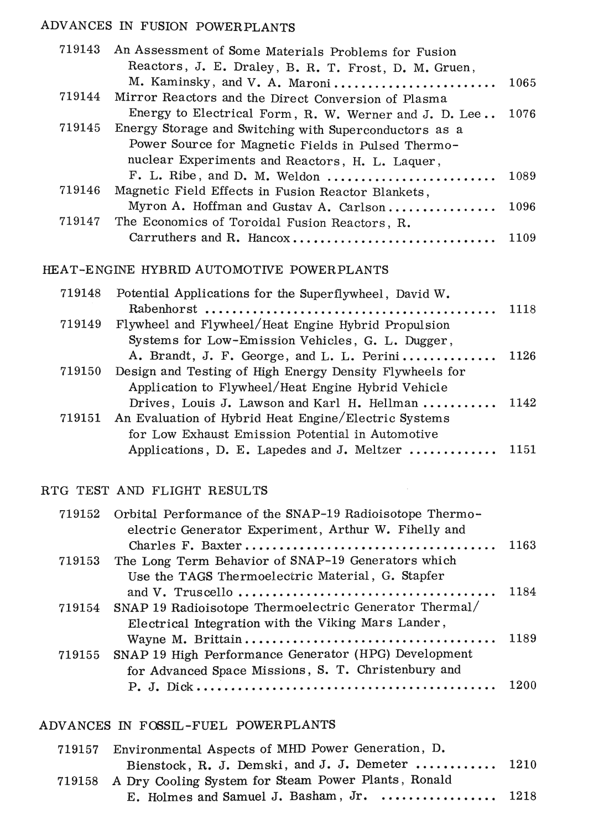# ADVANCES IN FUSION POWERPLANTS

| 719143 | An Assessment of Some Materials Problems for Fusion                      |      |
|--------|--------------------------------------------------------------------------|------|
|        | Reactors, J. E. Draley, B. R. T. Frost, D. M. Gruen,                     |      |
|        | M. Kaminsky, and V. A. Maroni                                            | 1065 |
| 719144 | Mirror Reactors and the Direct Conversion of Plasma                      |      |
|        | Energy to Electrical Form, R. W. Werner and J. D. Lee                    | 1076 |
| 719145 | Energy Storage and Switching with Superconductors as a                   |      |
|        | Power Source for Magnetic Fields in Pulsed Thermo-                       |      |
|        | nuclear Experiments and Reactors, H. L. Laquer,                          |      |
|        | $F. L. Ribe, and D. M. Weldon \ldots \ldots \ldots \ldots \ldots \ldots$ | 1089 |
| 719146 | Magnetic Field Effects in Fusion Reactor Blankets,                       |      |
|        | Myron A. Hoffman and Gustav A. Carlson                                   | 1096 |
| 719147 | The Economics of Toroidal Fusion Reactors, R.                            |      |
|        | Carruthers and R. Hancox                                                 | 1109 |
|        |                                                                          |      |
|        | HEAT-ENGINE HYBRID AUTOMOTIVE POWERPLANTS                                |      |
| 719148 |                                                                          |      |
|        | Potential Applications for the Superflywheel, David W.                   | 1118 |
| 719149 | Flywheel and Flywheel/Heat Engine Hybrid Propulsion                      |      |
|        | Systems for Low-Emission Vehicles, G. L. Dugger,                         |      |
|        | A. Brandt, J. F. George, and L. L. Perini                                | 1126 |
| 719150 | Design and Testing of High Energy Density Flywheels for                  |      |
|        | Application to Flywheel/Heat Engine Hybrid Vehicle                       |      |
|        | Drives, Louis J. Lawson and Karl H. Hellman                              | 1142 |
| 719151 | An Evaluation of Hybrid Heat Engine/Electric Systems                     |      |
|        | for Low Exhaust Emission Potential in Automotive                         |      |
|        |                                                                          |      |

# RTG TEST AND FLIGHT RESULTS

| 719152 Orbital Performance of the SNAP-19 Radioisotope Thermo-                                          |      |
|---------------------------------------------------------------------------------------------------------|------|
| electric Generator Experiment, Arthur W. Fihelly and                                                    |      |
|                                                                                                         | 1163 |
| 719153 The Long Term Behavior of SNAP-19 Generators which                                               |      |
| Use the TAGS Thermoelectric Material, G. Stapfer                                                        |      |
|                                                                                                         | 1184 |
| 719154 SNAP 19 Radioisotope Thermoelectric Generator Thermal/                                           |      |
| Electrical Integration with the Viking Mars Lander,                                                     |      |
|                                                                                                         |      |
| 719155 SNAP 19 High Performance Generator (HPG) Development                                             |      |
| for Advanced Space Missions, S. T. Christenbury and                                                     |      |
| $P. J. Dick \ldots \ldots \ldots \ldots \ldots \ldots \ldots \ldots \ldots \ldots \ldots \ldots \ldots$ | 1200 |
|                                                                                                         |      |

Applications, D. E. Lapedes and J. Meltzer ............ 1151

 $\sim$ 

# ADVANCES IN FOSSIL-FUEL POWERPLANTS

| 719157 Environmental Aspects of MHD Power Generation, D.             |  |
|----------------------------------------------------------------------|--|
| Bienstock, R. J. Demski, and J. J. Demeter $1210$                    |  |
| 719158 A Dry Cooling System for Steam Power Plants, Ronald           |  |
| E. Holmes and Samuel J. Basham, Jr. $\dots\dots\dots\dots\dots$ 1218 |  |
|                                                                      |  |